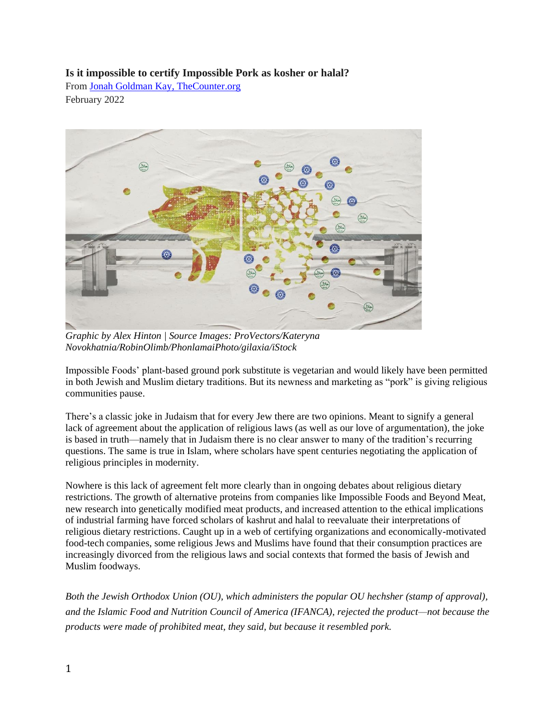## **Is it impossible to certify Impossible Pork as kosher or halal?**

From [Jonah Goldman Kay, TheCounter.org](https://thecounter.org/) February 2022



*Graphic by Alex Hinton | Source Images: ProVectors/Kateryna Novokhatnia/RobinOlimb/PhonlamaiPhoto/gilaxia/iStock*

Impossible Foods' plant-based ground pork substitute is vegetarian and would likely have been permitted in both Jewish and Muslim dietary traditions. But its newness and marketing as "pork" is giving religious communities pause.

There's a classic joke in Judaism that for every Jew there are two opinions. Meant to signify a general lack of agreement about the application of religious laws (as well as our love of argumentation), the joke is based in truth—namely that in Judaism there is no clear answer to many of the tradition's recurring questions. The same is true in Islam, where scholars have spent centuries negotiating the application of religious principles in modernity.

Nowhere is this lack of agreement felt more clearly than in ongoing debates about religious dietary restrictions. The growth of alternative proteins from companies like Impossible Foods and Beyond Meat, new research into genetically modified meat products, and increased attention to the ethical implications of industrial farming have forced scholars of kashrut and halal to reevaluate their interpretations of religious dietary restrictions. Caught up in a web of certifying organizations and economically-motivated food-tech companies, some religious Jews and Muslims have found that their consumption practices are increasingly divorced from the religious laws and social contexts that formed the basis of Jewish and Muslim foodways.

*Both the Jewish Orthodox Union (OU), which administers the popular OU hechsher (stamp of approval), and the Islamic Food and Nutrition Council of America (IFANCA), rejected the product—not because the products were made of prohibited meat, they said, but because it resembled pork.*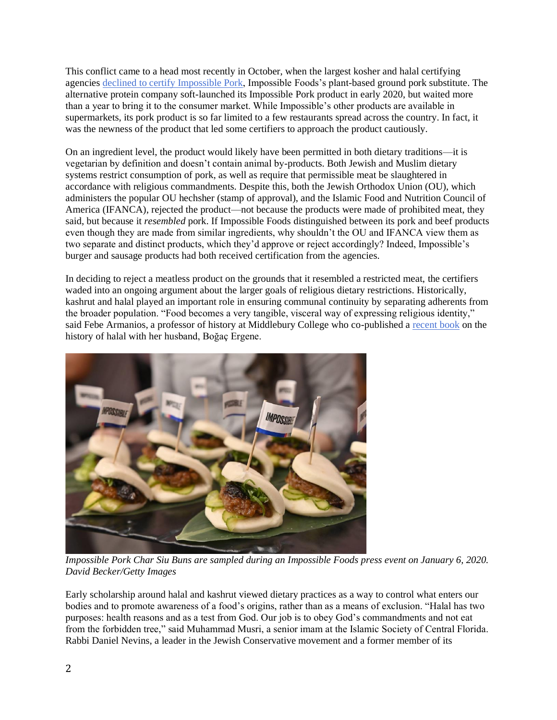This conflict came to a head most recently in October, when the largest kosher and halal certifying agencies [declined to certify Impossible Pork,](https://www.jta.org/2021/09/27/food/plant-based-impossible-pork-is-here-but-will-it-be-kosher) Impossible Foods's plant-based ground pork substitute. The alternative protein company soft-launched its Impossible Pork product in early 2020, but waited more than a year to bring it to the consumer market. While Impossible's other products are available in supermarkets, its pork product is so far limited to a few restaurants spread across the country. In fact, it was the newness of the product that led some certifiers to approach the product cautiously.

On an ingredient level, the product would likely have been permitted in both dietary traditions—it is vegetarian by definition and doesn't contain animal by-products. Both Jewish and Muslim dietary systems restrict consumption of pork, as well as require that permissible meat be slaughtered in accordance with religious commandments. Despite this, both the Jewish Orthodox Union (OU), which administers the popular OU hechsher (stamp of approval), and the Islamic Food and Nutrition Council of America (IFANCA), rejected the product—not because the products were made of prohibited meat, they said, but because it *resembled* pork. If Impossible Foods distinguished between its pork and beef products even though they are made from similar ingredients, why shouldn't the OU and IFANCA view them as two separate and distinct products, which they'd approve or reject accordingly? Indeed, Impossible's burger and sausage products had both received certification from the agencies.

In deciding to reject a meatless product on the grounds that it resembled a restricted meat, the certifiers waded into an ongoing argument about the larger goals of religious dietary restrictions. Historically, kashrut and halal played an important role in ensuring communal continuity by separating adherents from the broader population. "Food becomes a very tangible, visceral way of expressing religious identity," said Febe Armanios, a professor of history at Middlebury College who co-published a [recent book](https://global.oup.com/academic/product/halal-food-9780190269050?cc=us&lang=en&) on the history of halal with her husband, Boğaç Ergene.



*Impossible Pork Char Siu Buns are sampled during an Impossible Foods press event on January 6, 2020. David Becker/Getty Images*

Early scholarship around halal and kashrut viewed dietary practices as a way to control what enters our bodies and to promote awareness of a food's origins, rather than as a means of exclusion. "Halal has two purposes: health reasons and as a test from God. Our job is to obey God's commandments and not eat from the forbidden tree," said Muhammad Musri, a senior imam at the Islamic Society of Central Florida. Rabbi Daniel Nevins, a leader in the Jewish Conservative movement and a former member of its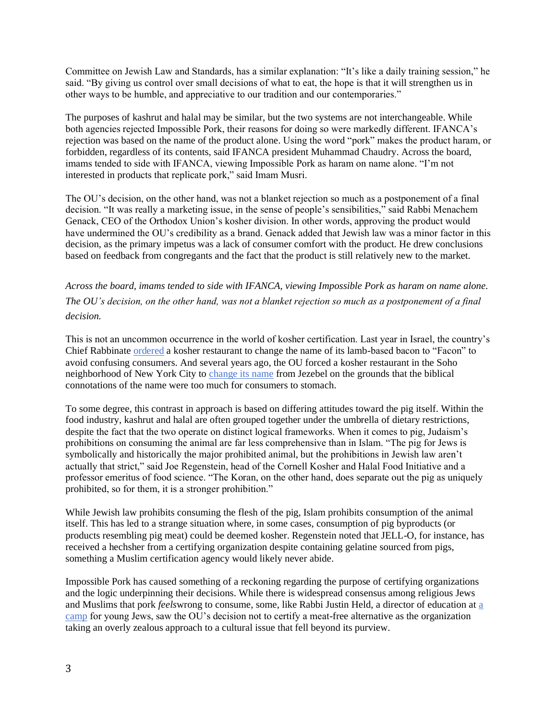Committee on Jewish Law and Standards, has a similar explanation: "It's like a daily training session," he said. "By giving us control over small decisions of what to eat, the hope is that it will strengthen us in other ways to be humble, and appreciative to our tradition and our contemporaries."

The purposes of kashrut and halal may be similar, but the two systems are not interchangeable. While both agencies rejected Impossible Pork, their reasons for doing so were markedly different. IFANCA's rejection was based on the name of the product alone. Using the word "pork" makes the product haram, or forbidden, regardless of its contents, said IFANCA president Muhammad Chaudry. Across the board, imams tended to side with IFANCA, viewing Impossible Pork as haram on name alone. "I'm not interested in products that replicate pork," said Imam Musri.

The OU's decision, on the other hand, was not a blanket rejection so much as a postponement of a final decision. "It was really a marketing issue, in the sense of people's sensibilities," said Rabbi Menachem Genack, CEO of the Orthodox Union's kosher division. In other words, approving the product would have undermined the OU's credibility as a brand. Genack added that Jewish law was a minor factor in this decision, as the primary impetus was a lack of consumer comfort with the product. He drew conclusions based on feedback from congregants and the fact that the product is still relatively new to the market.

*Across the board, imams tended to side with IFANCA, viewing Impossible Pork as haram on name alone. The OU's decision, on the other hand, was not a blanket rejection so much as a postponement of a final decision.*

This is not an uncommon occurrence in the world of kosher certification. Last year in Israel, the country's Chief Rabbinate [ordered](https://www.koshertoday.com/news/chief-rabbinate-in-israel-adopts-us-facon-designation) a kosher restaurant to change the name of its lamb-based bacon to "Facon" to avoid confusing consumers. And several years ago, the OU forced a kosher restaurant in the Soho neighborhood of New York City to [change its name](https://forward.com/food/172134/bowing-to-the-ou-jezebel-changes-its-racy-name/) from Jezebel on the grounds that the biblical connotations of the name were too much for consumers to stomach.

To some degree, this contrast in approach is based on differing attitudes toward the pig itself. Within the food industry, kashrut and halal are often grouped together under the umbrella of dietary restrictions, despite the fact that the two operate on distinct logical frameworks. When it comes to pig, Judaism's prohibitions on consuming the animal are far less comprehensive than in Islam. "The pig for Jews is symbolically and historically the major prohibited animal, but the prohibitions in Jewish law aren't actually that strict," said Joe Regenstein, head of the Cornell Kosher and Halal Food Initiative and a professor emeritus of food science. "The Koran, on the other hand, does separate out the pig as uniquely prohibited, so for them, it is a stronger prohibition."

While Jewish law prohibits consuming the flesh of the pig, Islam prohibits consumption of the animal itself. This has led to a strange situation where, in some cases, consumption of pig byproducts (or products resembling pig meat) could be deemed kosher. Regenstein noted that JELL-O, for instance, has received a hechsher from a certifying organization despite containing gelatine sourced from pigs, something a Muslim certification agency would likely never abide.

Impossible Pork has caused something of a reckoning regarding the purpose of certifying organizations and the logic underpinning their decisions. While there is widespread consensus among religious Jews and Muslims that pork *feels*wrong to consume, some, like Rabbi Justin Held, a director of education at [a](https://herzlcamp.org/)  [camp](https://herzlcamp.org/) for young Jews, saw the OU's decision not to certify a meat-free alternative as the organization taking an overly zealous approach to a cultural issue that fell beyond its purview.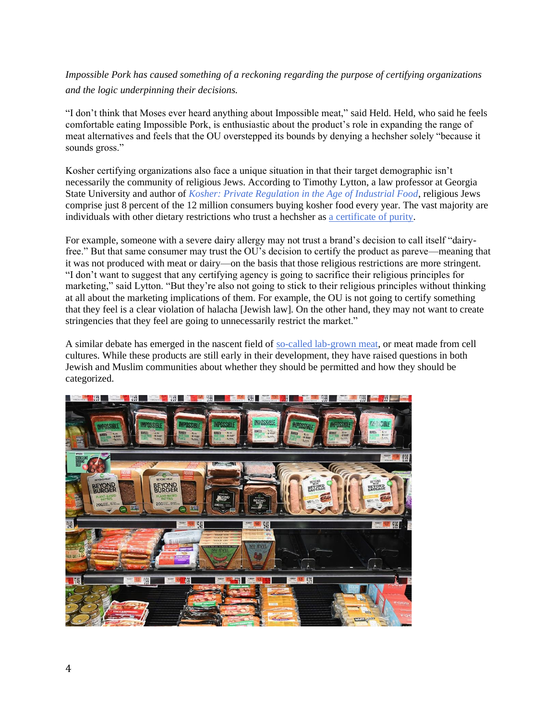*Impossible Pork has caused something of a reckoning regarding the purpose of certifying organizations and the logic underpinning their decisions.*

"I don't think that Moses ever heard anything about Impossible meat," said Held. Held, who said he feels comfortable eating Impossible Pork, is enthusiastic about the product's role in expanding the range of meat alternatives and feels that the OU overstepped its bounds by denying a hechsher solely "because it sounds gross."

Kosher certifying organizations also face a unique situation in that their target demographic isn't necessarily the community of religious Jews. According to Timothy Lytton, a law professor at Georgia State University and author of *[Kosher: Private Regulation in the Age of Industrial Food](https://www.hup.harvard.edu/catalog.php?isbn=9780674072930)*, religious Jews comprise just 8 percent of the 12 million consumers buying kosher food every year. The vast majority are individuals with other dietary restrictions who trust a hechsher as [a certificate of purity.](https://thecounter.org/you-can-finally-buy-ethical-heritage-and-kosher-meat-but-its-going-to-cost-you/)

For example, someone with a severe dairy allergy may not trust a brand's decision to call itself "dairyfree." But that same consumer may trust the OU's decision to certify the product as pareve—meaning that it was not produced with meat or dairy—on the basis that those religious restrictions are more stringent. "I don't want to suggest that any certifying agency is going to sacrifice their religious principles for marketing," said Lytton. "But they're also not going to stick to their religious principles without thinking at all about the marketing implications of them. For example, the OU is not going to certify something that they feel is a clear violation of halacha [Jewish law]. On the other hand, they may not want to create stringencies that they feel are going to unnecessarily restrict the market."

A similar debate has emerged in the nascent field of [so-called lab-grown meat,](https://thecounter.org/lab-grown-cultivated-meat-cost-at-scale/) or meat made from cell cultures. While these products are still early in their development, they have raised questions in both Jewish and Muslim communities about whether they should be permitted and how they should be categorized.

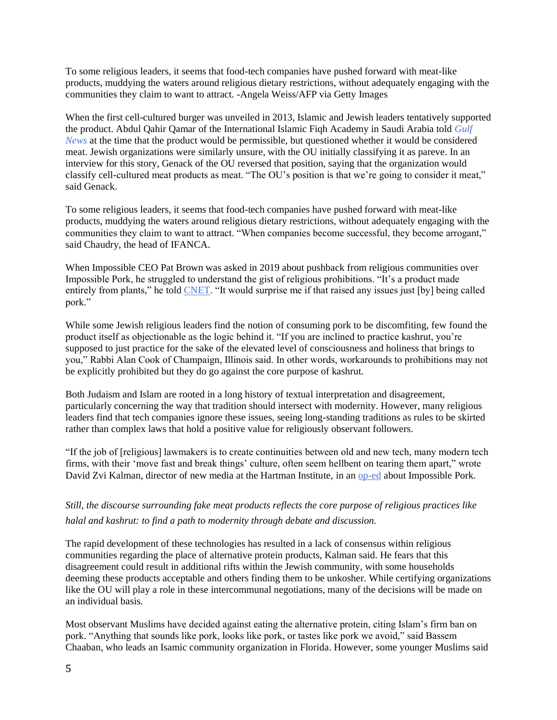To some religious leaders, it seems that food-tech companies have pushed forward with meat-like products, muddying the waters around religious dietary restrictions, without adequately engaging with the communities they claim to want to attract. -Angela Weiss/AFP via Getty Images

When the first cell-cultured burger was unveiled in 2013, Islamic and Jewish leaders tentatively supported the product. Abdul Qahir Qamar of the International Islamic Fiqh Academy in Saudi Arabia told *[Gulf](https://gulfnews.com/going-out/is-shmeat-the-answer-in-vitro-meat-could-be-the-future-of-food-1.1176127)  [News](https://gulfnews.com/going-out/is-shmeat-the-answer-in-vitro-meat-could-be-the-future-of-food-1.1176127)* at the time that the product would be permissible, but questioned whether it would be considered meat. Jewish organizations were similarly unsure, with the OU initially classifying it as pareve. In an interview for this story, Genack of the OU reversed that position, saying that the organization would classify cell-cultured meat products as meat. "The OU's position is that we're going to consider it meat," said Genack.

To some religious leaders, it seems that food-tech companies have pushed forward with meat-like products, muddying the waters around religious dietary restrictions, without adequately engaging with the communities they claim to want to attract. "When companies become successful, they become arrogant," said Chaudry, the head of IFANCA.

When Impossible CEO Pat Brown was asked in 2019 about pushback from religious communities over Impossible Pork, he struggled to understand the gist of religious prohibitions. "It's a product made entirely from plants," he told [CNET.](https://www.cnet.com/news/trying-impossible-pork-as-a-practicing-muslim-was-super-weird/) "It would surprise me if that raised any issues just [by] being called pork."

While some Jewish religious leaders find the notion of consuming pork to be discomfiting, few found the product itself as objectionable as the logic behind it. "If you are inclined to practice kashrut, you're supposed to just practice for the sake of the elevated level of consciousness and holiness that brings to you," Rabbi Alan Cook of Champaign, Illinois said. In other words, workarounds to prohibitions may not be explicitly prohibited but they do go against the core purpose of kashrut.

Both Judaism and Islam are rooted in a long history of textual interpretation and disagreement, particularly concerning the way that tradition should intersect with modernity. However, many religious leaders find that tech companies ignore these issues, seeing long-standing traditions as rules to be skirted rather than complex laws that hold a positive value for religiously observant followers.

"If the job of [religious] lawmakers is to create continuities between old and new tech, many modern tech firms, with their 'move fast and break things' culture, often seem hellbent on tearing them apart," wrote David Zvi Kalman, director of new media at the Hartman Institute, in an [op-ed](https://www.jta.org/2021/10/06/opinion/judaism-often-thrives-on-new-technologies-that-doesnt-mean-impossible-pork-should-be-kosher) about Impossible Pork.

## *Still, the discourse surrounding fake meat products reflects the core purpose of religious practices like halal and kashrut: to find a path to modernity through debate and discussion.*

The rapid development of these technologies has resulted in a lack of consensus within religious communities regarding the place of alternative protein products, Kalman said. He fears that this disagreement could result in additional rifts within the Jewish community, with some households deeming these products acceptable and others finding them to be unkosher. While certifying organizations like the OU will play a role in these intercommunal negotiations, many of the decisions will be made on an individual basis.

Most observant Muslims have decided against eating the alternative protein, citing Islam's firm ban on pork. "Anything that sounds like pork, looks like pork, or tastes like pork we avoid," said Bassem Chaaban, who leads an Isamic community organization in Florida. However, some younger Muslims said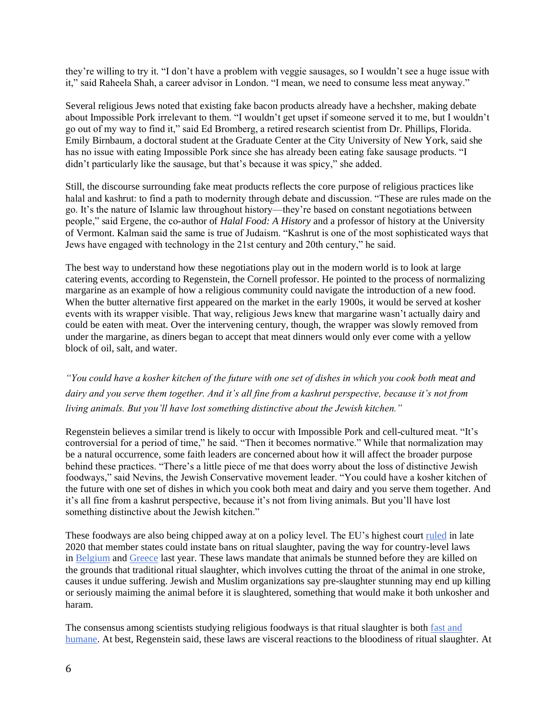they're willing to try it. "I don't have a problem with veggie sausages, so I wouldn't see a huge issue with it," said Raheela Shah, a career advisor in London. "I mean, we need to consume less meat anyway."

Several religious Jews noted that existing fake bacon products already have a hechsher, making debate about Impossible Pork irrelevant to them. "I wouldn't get upset if someone served it to me, but I wouldn't go out of my way to find it," said Ed Bromberg, a retired research scientist from Dr. Phillips, Florida. Emily Birnbaum, a doctoral student at the Graduate Center at the City University of New York, said she has no issue with eating Impossible Pork since she has already been eating fake sausage products. "I didn't particularly like the sausage, but that's because it was spicy," she added.

Still, the discourse surrounding fake meat products reflects the core purpose of religious practices like halal and kashrut: to find a path to modernity through debate and discussion. "These are rules made on the go. It's the nature of Islamic law throughout history—they're based on constant negotiations between people," said Ergene, the co-author of *Halal Food: A History* and a professor of history at the University of Vermont. Kalman said the same is true of Judaism. "Kashrut is one of the most sophisticated ways that Jews have engaged with technology in the 21st century and 20th century," he said.

The best way to understand how these negotiations play out in the modern world is to look at large catering events, according to Regenstein, the Cornell professor. He pointed to the process of normalizing margarine as an example of how a religious community could navigate the introduction of a new food. When the butter alternative first appeared on the market in the early 1900s, it would be served at kosher events with its wrapper visible. That way, religious Jews knew that margarine wasn't actually dairy and could be eaten with meat. Over the intervening century, though, the wrapper was slowly removed from under the margarine, as diners began to accept that meat dinners would only ever come with a yellow block of oil, salt, and water.

*"You could have a kosher kitchen of the future with one set of dishes in which you cook both meat and dairy and you serve them together. And it's all fine from a kashrut perspective, because it's not from living animals. But you'll have lost something distinctive about the Jewish kitchen."*

Regenstein believes a similar trend is likely to occur with Impossible Pork and cell-cultured meat. "It's controversial for a period of time," he said. "Then it becomes normative." While that normalization may be a natural occurrence, some faith leaders are concerned about how it will affect the broader purpose behind these practices. "There's a little piece of me that does worry about the loss of distinctive Jewish foodways," said Nevins, the Jewish Conservative movement leader. "You could have a kosher kitchen of the future with one set of dishes in which you cook both meat and dairy and you serve them together. And it's all fine from a kashrut perspective, because it's not from living animals. But you'll have lost something distinctive about the Jewish kitchen."

These foodways are also being chipped away at on a policy level. The EU's highest court [ruled](https://www.bbc.co.uk/news/world-europe-55344971) in late 2020 that member states could instate bans on ritual slaughter, paving the way for country-level laws in [Belgium](https://www.politico.eu/article/belgium-jewish-community-ritual-slaughter-ban-antwerp/) and [Greece](https://www.jta.org/2021/10/27/global/greeces-top-court-rules-against-ritual-slaughter-following-recent-eu-decision-upholding-bans) last year. These laws mandate that animals be stunned before they are killed on the grounds that traditional ritual slaughter, which involves cutting the throat of the animal in one stroke, causes it undue suffering. Jewish and Muslim organizations say pre-slaughter stunning may end up killing or seriously maiming the animal before it is slaughtered, something that would make it both unkosher and haram.

The consensus among scientists studying religious foodways is that ritual slaughter is both [fast and](https://meatscience.org/docs/default-source/publications-resources/rmc/2012/25_regenstein_r2.pdf?sfvrsn=0)  [humane.](https://meatscience.org/docs/default-source/publications-resources/rmc/2012/25_regenstein_r2.pdf?sfvrsn=0) At best, Regenstein said, these laws are visceral reactions to the bloodiness of ritual slaughter. At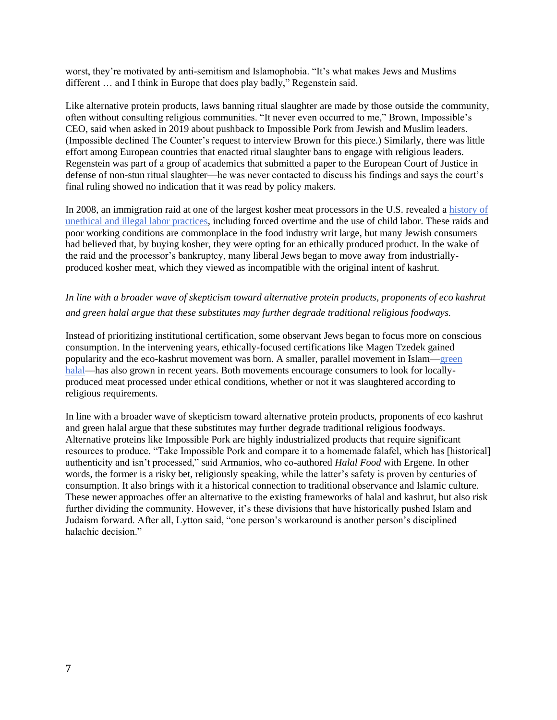worst, they're motivated by anti-semitism and Islamophobia. "It's what makes Jews and Muslims different … and I think in Europe that does play badly," Regenstein said.

Like alternative protein products, laws banning ritual slaughter are made by those outside the community, often without consulting religious communities. "It never even occurred to me," Brown, Impossible's CEO, said when asked in 2019 about pushback to Impossible Pork from Jewish and Muslim leaders. (Impossible declined The Counter's request to interview Brown for this piece.) Similarly, there was little effort among European countries that enacted ritual slaughter bans to engage with religious leaders. Regenstein was part of a group of academics that submitted a paper to the European Court of Justice in defense of non-stun ritual slaughter—he was never contacted to discuss his findings and says the court's final ruling showed no indication that it was read by policy makers.

In 2008, an immigration raid at one of the largest kosher meat processors in the U.S. revealed a [history of](https://www.nytimes.com/2008/08/23/us/23kosher.html?searchResultPosition=14)  [unethical and illegal labor practices,](https://www.nytimes.com/2008/08/23/us/23kosher.html?searchResultPosition=14) including forced overtime and the use of child labor. These raids and poor working conditions are commonplace in the food industry writ large, but many Jewish consumers had believed that, by buying kosher, they were opting for an ethically produced product. In the wake of the raid and the processor's bankruptcy, many liberal Jews began to move away from industriallyproduced kosher meat, which they viewed as incompatible with the original intent of kashrut.

## *In line with a broader wave of skepticism toward alternative protein products, proponents of eco kashrut and green halal argue that these substitutes may further degrade traditional religious foodways.*

Instead of prioritizing institutional certification, some observant Jews began to focus more on conscious consumption. In the intervening years, ethically-focused certifications like Magen Tzedek gained popularity and the eco-kashrut movement was born. A smaller, parallel movement in Islam[—green](https://www.zmo.de/forschung/hauptforschungsprogramm/umwelt-und-gerechtigkeit/green-halal)  [halal—](https://www.zmo.de/forschung/hauptforschungsprogramm/umwelt-und-gerechtigkeit/green-halal)has also grown in recent years. Both movements encourage consumers to look for locallyproduced meat processed under ethical conditions, whether or not it was slaughtered according to religious requirements.

In line with a broader wave of skepticism toward alternative protein products, proponents of eco kashrut and green halal argue that these substitutes may further degrade traditional religious foodways. Alternative proteins like Impossible Pork are highly industrialized products that require significant resources to produce. "Take Impossible Pork and compare it to a homemade falafel, which has [historical] authenticity and isn't processed," said Armanios, who co-authored *Halal Food* with Ergene. In other words, the former is a risky bet, religiously speaking, while the latter's safety is proven by centuries of consumption. It also brings with it a historical connection to traditional observance and Islamic culture. These newer approaches offer an alternative to the existing frameworks of halal and kashrut, but also risk further dividing the community. However, it's these divisions that have historically pushed Islam and Judaism forward. After all, Lytton said, "one person's workaround is another person's disciplined halachic decision."